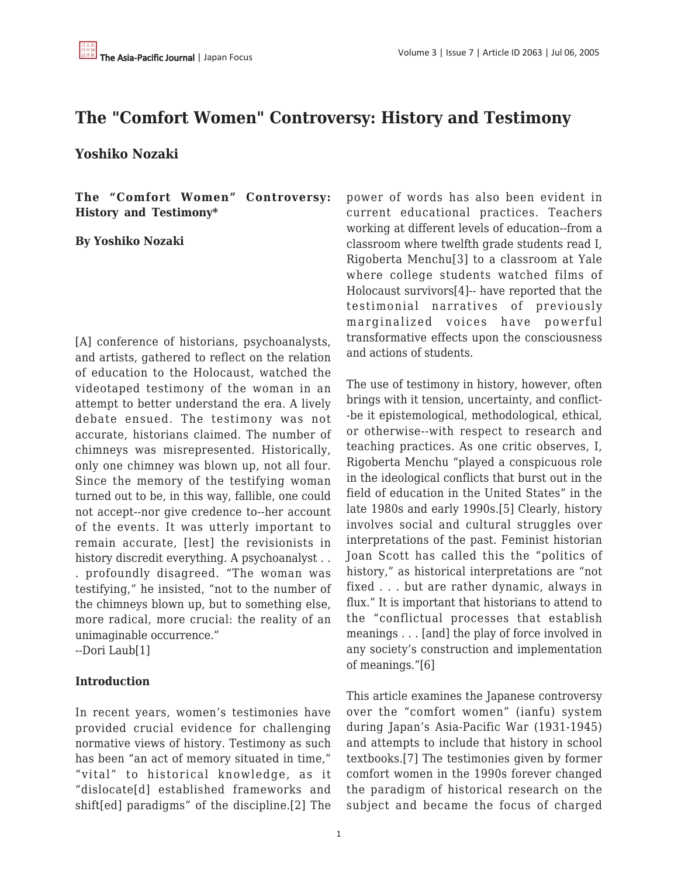# **The "Comfort Women" Controversy: History and Testimony**

**Yoshiko Nozaki**

**The "Comfort Women" Controversy: History and Testimony\***

#### **By Yoshiko Nozaki**

[A] conference of historians, psychoanalysts, and artists, gathered to reflect on the relation of education to the Holocaust, watched the videotaped testimony of the woman in an attempt to better understand the era. A lively debate ensued. The testimony was not accurate, historians claimed. The number of chimneys was misrepresented. Historically, only one chimney was blown up, not all four. Since the memory of the testifying woman turned out to be, in this way, fallible, one could not accept--nor give credence to--her account of the events. It was utterly important to remain accurate, [lest] the revisionists in history discredit everything. A psychoanalyst . . . profoundly disagreed. "The woman was testifying," he insisted, "not to the number of the chimneys blown up, but to something else, more radical, more crucial: the reality of an unimaginable occurrence."

--Dori Laub[1]

# **Introduction**

In recent years, women's testimonies have provided crucial evidence for challenging normative views of history. Testimony as such has been "an act of memory situated in time," "vital" to historical knowledge, as it "dislocate[d] established frameworks and shift[ed] paradigms" of the discipline.[2] The power of words has also been evident in current educational practices. Teachers working at different levels of education--from a classroom where twelfth grade students read I, Rigoberta Menchu[3] to a classroom at Yale where college students watched films of Holocaust survivors[4]-- have reported that the testimonial narratives of previously marginalized voices have powerful transformative effects upon the consciousness and actions of students.

The use of testimony in history, however, often brings with it tension, uncertainty, and conflict- -be it epistemological, methodological, ethical, or otherwise--with respect to research and teaching practices. As one critic observes, I, Rigoberta Menchu "played a conspicuous role in the ideological conflicts that burst out in the field of education in the United States" in the late 1980s and early 1990s.[5] Clearly, history involves social and cultural struggles over interpretations of the past. Feminist historian Joan Scott has called this the "politics of history," as historical interpretations are "not fixed . . . but are rather dynamic, always in flux." It is important that historians to attend to the "conflictual processes that establish meanings . . . [and] the play of force involved in any society's construction and implementation of meanings."[6]

This article examines the Japanese controversy over the "comfort women" (ianfu) system during Japan's Asia-Pacific War (1931-1945) and attempts to include that history in school textbooks.[7] The testimonies given by former comfort women in the 1990s forever changed the paradigm of historical research on the subject and became the focus of charged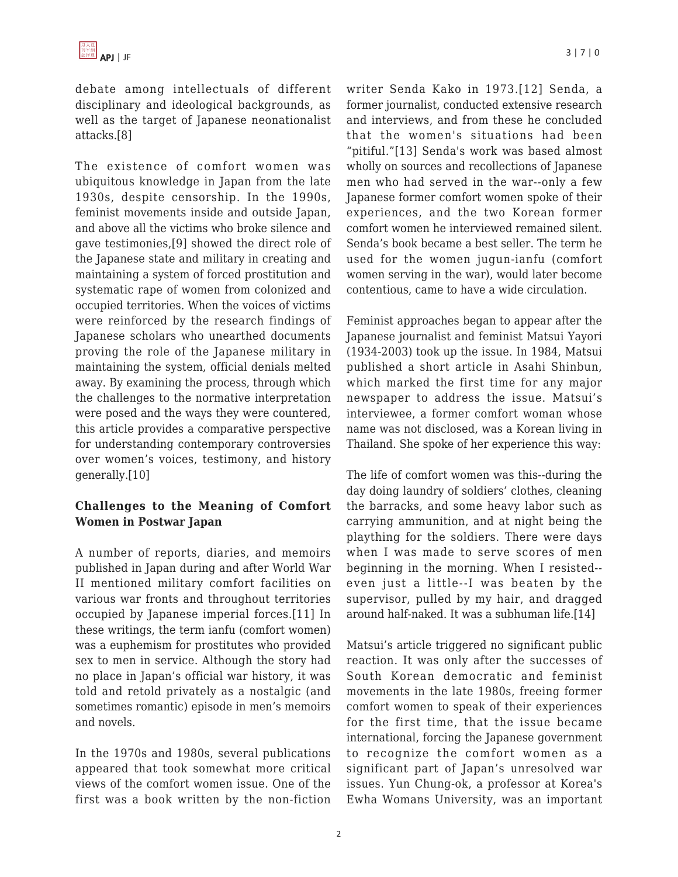debate among intellectuals of different disciplinary and ideological backgrounds, as well as the target of Japanese neonationalist attacks.[8]

The existence of comfort women was ubiquitous knowledge in Japan from the late 1930s, despite censorship. In the 1990s, feminist movements inside and outside Japan, and above all the victims who broke silence and gave testimonies,[9] showed the direct role of the Japanese state and military in creating and maintaining a system of forced prostitution and systematic rape of women from colonized and occupied territories. When the voices of victims were reinforced by the research findings of Japanese scholars who unearthed documents proving the role of the Japanese military in maintaining the system, official denials melted away. By examining the process, through which the challenges to the normative interpretation were posed and the ways they were countered, this article provides a comparative perspective for understanding contemporary controversies over women's voices, testimony, and history generally.[10]

# **Challenges to the Meaning of Comfort Women in Postwar Japan**

A number of reports, diaries, and memoirs published in Japan during and after World War II mentioned military comfort facilities on various war fronts and throughout territories occupied by Japanese imperial forces.[11] In these writings, the term ianfu (comfort women) was a euphemism for prostitutes who provided sex to men in service. Although the story had no place in Japan's official war history, it was told and retold privately as a nostalgic (and sometimes romantic) episode in men's memoirs and novels.

In the 1970s and 1980s, several publications appeared that took somewhat more critical views of the comfort women issue. One of the first was a book written by the non-fiction writer Senda Kako in 1973.[12] Senda, a former journalist, conducted extensive research and interviews, and from these he concluded that the women's situations had been "pitiful."[13] Senda's work was based almost wholly on sources and recollections of Japanese men who had served in the war--only a few Japanese former comfort women spoke of their experiences, and the two Korean former comfort women he interviewed remained silent. Senda's book became a best seller. The term he used for the women jugun-ianfu (comfort women serving in the war), would later become contentious, came to have a wide circulation.

Feminist approaches began to appear after the Japanese journalist and feminist Matsui Yayori (1934-2003) took up the issue. In 1984, Matsui published a short article in Asahi Shinbun, which marked the first time for any major newspaper to address the issue. Matsui's interviewee, a former comfort woman whose name was not disclosed, was a Korean living in Thailand. She spoke of her experience this way:

The life of comfort women was this--during the day doing laundry of soldiers' clothes, cleaning the barracks, and some heavy labor such as carrying ammunition, and at night being the plaything for the soldiers. There were days when I was made to serve scores of men beginning in the morning. When I resisted- even just a little--I was beaten by the supervisor, pulled by my hair, and dragged around half-naked. It was a subhuman life.[14]

Matsui's article triggered no significant public reaction. It was only after the successes of South Korean democratic and feminist movements in the late 1980s, freeing former comfort women to speak of their experiences for the first time, that the issue became international, forcing the Japanese government to recognize the comfort women as a significant part of Japan's unresolved war issues. Yun Chung-ok, a professor at Korea's Ewha Womans University, was an important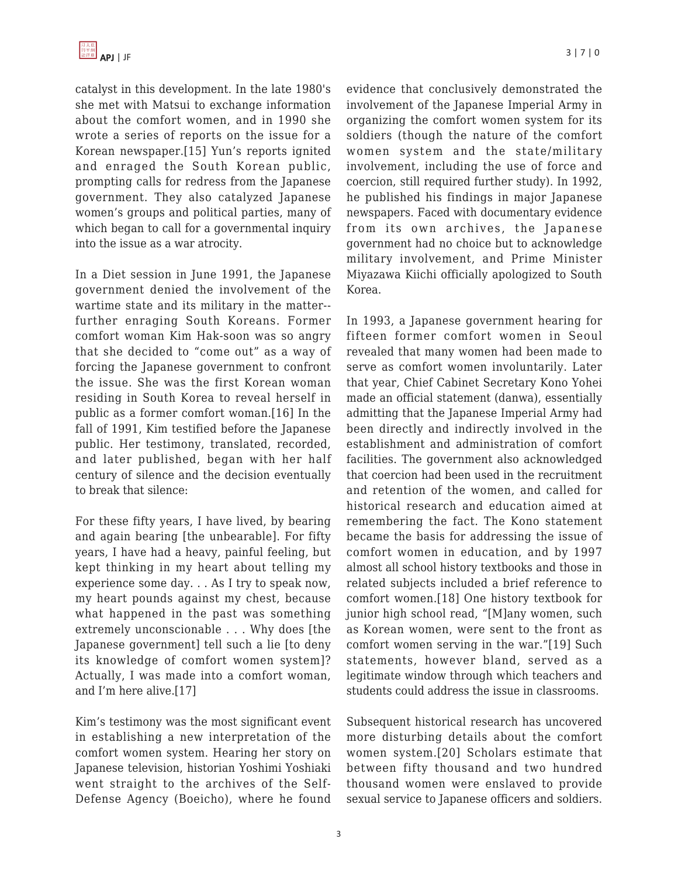catalyst in this development. In the late 1980's she met with Matsui to exchange information about the comfort women, and in 1990 she wrote a series of reports on the issue for a Korean newspaper.[15] Yun's reports ignited and enraged the South Korean public, prompting calls for redress from the Japanese government. They also catalyzed Japanese women's groups and political parties, many of which began to call for a governmental inquiry into the issue as a war atrocity.

In a Diet session in June 1991, the Japanese government denied the involvement of the wartime state and its military in the matter- further enraging South Koreans. Former comfort woman Kim Hak-soon was so angry that she decided to "come out" as a way of forcing the Japanese government to confront the issue. She was the first Korean woman residing in South Korea to reveal herself in public as a former comfort woman.[16] In the fall of 1991, Kim testified before the Japanese public. Her testimony, translated, recorded, and later published, began with her half century of silence and the decision eventually to break that silence:

For these fifty years, I have lived, by bearing and again bearing [the unbearable]. For fifty years, I have had a heavy, painful feeling, but kept thinking in my heart about telling my experience some day. . . As I try to speak now, my heart pounds against my chest, because what happened in the past was something extremely unconscionable . . . Why does [the Japanese government] tell such a lie [to deny its knowledge of comfort women system]? Actually, I was made into a comfort woman, and I'm here alive.[17]

Kim's testimony was the most significant event in establishing a new interpretation of the comfort women system. Hearing her story on Japanese television, historian Yoshimi Yoshiaki went straight to the archives of the Self-Defense Agency (Boeicho), where he found evidence that conclusively demonstrated the involvement of the Japanese Imperial Army in organizing the comfort women system for its soldiers (though the nature of the comfort women system and the state/military involvement, including the use of force and coercion, still required further study). In 1992, he published his findings in major Japanese newspapers. Faced with documentary evidence from its own archives, the Japanese government had no choice but to acknowledge military involvement, and Prime Minister Miyazawa Kiichi officially apologized to South Korea.

In 1993, a Japanese government hearing for fifteen former comfort women in Seoul revealed that many women had been made to serve as comfort women involuntarily. Later that year, Chief Cabinet Secretary Kono Yohei made an official statement (danwa), essentially admitting that the Japanese Imperial Army had been directly and indirectly involved in the establishment and administration of comfort facilities. The government also acknowledged that coercion had been used in the recruitment and retention of the women, and called for historical research and education aimed at remembering the fact. The Kono statement became the basis for addressing the issue of comfort women in education, and by 1997 almost all school history textbooks and those in related subjects included a brief reference to comfort women.[18] One history textbook for junior high school read, "[M]any women, such as Korean women, were sent to the front as comfort women serving in the war."[19] Such statements, however bland, served as a legitimate window through which teachers and students could address the issue in classrooms.

Subsequent historical research has uncovered more disturbing details about the comfort women system.[20] Scholars estimate that between fifty thousand and two hundred thousand women were enslaved to provide sexual service to Japanese officers and soldiers.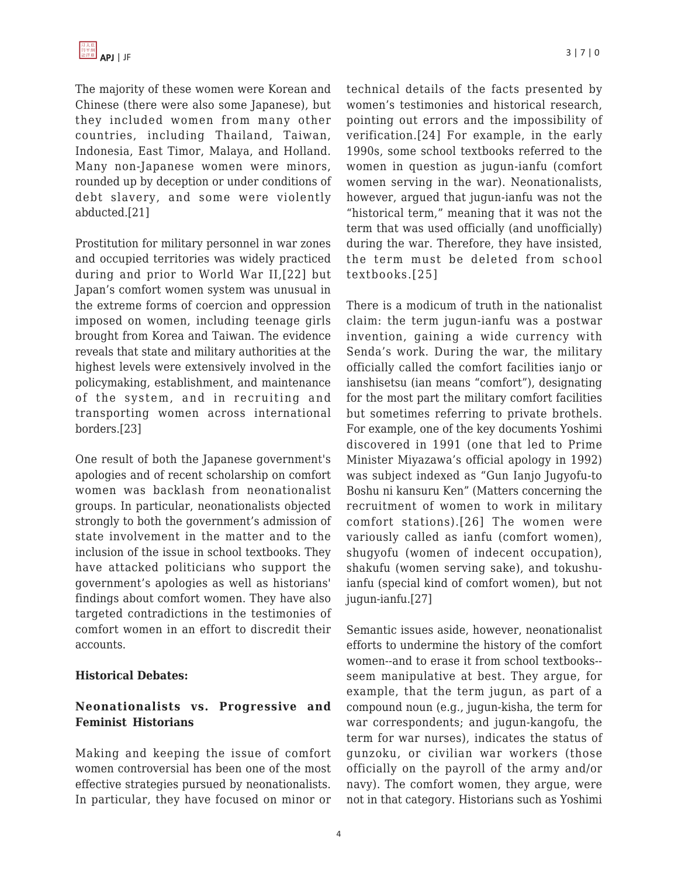The majority of these women were Korean and Chinese (there were also some Japanese), but they included women from many other countries, including Thailand, Taiwan, Indonesia, East Timor, Malaya, and Holland. Many non-Japanese women were minors, rounded up by deception or under conditions of debt slavery, and some were violently abducted.[21]

Prostitution for military personnel in war zones and occupied territories was widely practiced during and prior to World War II,[22] but Japan's comfort women system was unusual in the extreme forms of coercion and oppression imposed on women, including teenage girls brought from Korea and Taiwan. The evidence reveals that state and military authorities at the highest levels were extensively involved in the policymaking, establishment, and maintenance of the system, and in recruiting and transporting women across international borders.[23]

One result of both the Japanese government's apologies and of recent scholarship on comfort women was backlash from neonationalist groups. In particular, neonationalists objected strongly to both the government's admission of state involvement in the matter and to the inclusion of the issue in school textbooks. They have attacked politicians who support the government's apologies as well as historians' findings about comfort women. They have also targeted contradictions in the testimonies of comfort women in an effort to discredit their accounts.

#### **Historical Debates:**

# **Neonationalists vs. Progressive and Feminist Historians**

Making and keeping the issue of comfort women controversial has been one of the most effective strategies pursued by neonationalists. In particular, they have focused on minor or technical details of the facts presented by women's testimonies and historical research, pointing out errors and the impossibility of verification.[24] For example, in the early 1990s, some school textbooks referred to the women in question as jugun-ianfu (comfort women serving in the war). Neonationalists, however, argued that jugun-ianfu was not the "historical term," meaning that it was not the term that was used officially (and unofficially) during the war. Therefore, they have insisted, the term must be deleted from school textbooks.[25]

There is a modicum of truth in the nationalist claim: the term jugun-ianfu was a postwar invention, gaining a wide currency with Senda's work. During the war, the military officially called the comfort facilities ianjo or ianshisetsu (ian means "comfort"), designating for the most part the military comfort facilities but sometimes referring to private brothels. For example, one of the key documents Yoshimi discovered in 1991 (one that led to Prime Minister Miyazawa's official apology in 1992) was subject indexed as "Gun Ianjo Jugyofu-to Boshu ni kansuru Ken" (Matters concerning the recruitment of women to work in military comfort stations).[26] The women were variously called as ianfu (comfort women), shugyofu (women of indecent occupation), shakufu (women serving sake), and tokushuianfu (special kind of comfort women), but not jugun-ianfu.[27]

Semantic issues aside, however, neonationalist efforts to undermine the history of the comfort women--and to erase it from school textbooks- seem manipulative at best. They argue, for example, that the term jugun, as part of a compound noun (e.g., jugun-kisha, the term for war correspondents; and jugun-kangofu, the term for war nurses), indicates the status of gunzoku, or civilian war workers (those officially on the payroll of the army and/or navy). The comfort women, they argue, were not in that category. Historians such as Yoshimi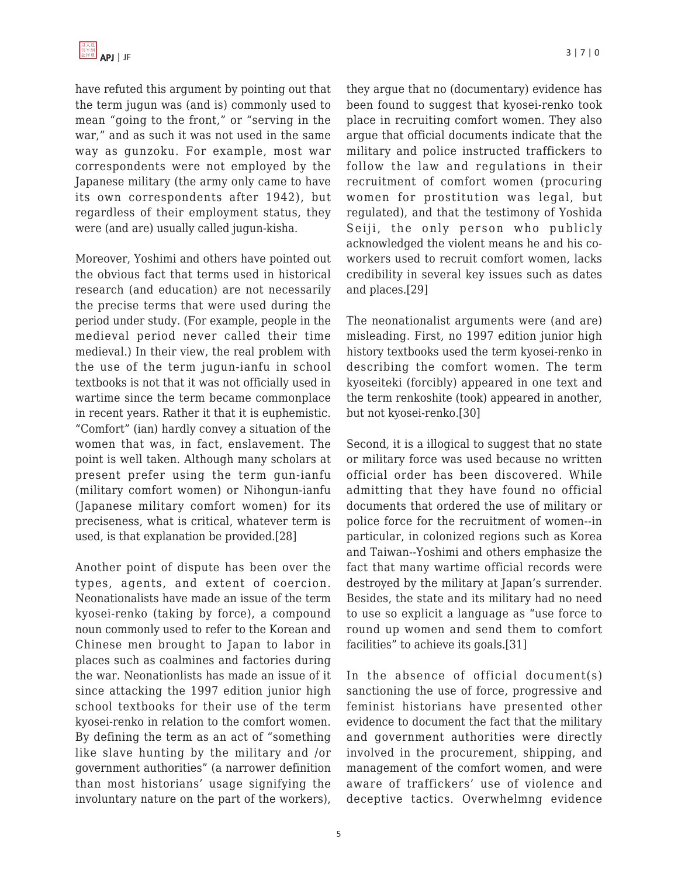have refuted this argument by pointing out that the term jugun was (and is) commonly used to mean "going to the front," or "serving in the war," and as such it was not used in the same way as gunzoku. For example, most war correspondents were not employed by the Japanese military (the army only came to have its own correspondents after 1942), but regardless of their employment status, they were (and are) usually called jugun-kisha.

Moreover, Yoshimi and others have pointed out the obvious fact that terms used in historical research (and education) are not necessarily the precise terms that were used during the period under study. (For example, people in the medieval period never called their time medieval.) In their view, the real problem with the use of the term jugun-ianfu in school textbooks is not that it was not officially used in wartime since the term became commonplace in recent years. Rather it that it is euphemistic. "Comfort" (ian) hardly convey a situation of the women that was, in fact, enslavement. The point is well taken. Although many scholars at present prefer using the term gun-ianfu (military comfort women) or Nihongun-ianfu (Japanese military comfort women) for its preciseness, what is critical, whatever term is used, is that explanation be provided.[28]

Another point of dispute has been over the types, agents, and extent of coercion. Neonationalists have made an issue of the term kyosei-renko (taking by force), a compound noun commonly used to refer to the Korean and Chinese men brought to Japan to labor in places such as coalmines and factories during the war. Neonationlists has made an issue of it since attacking the 1997 edition junior high school textbooks for their use of the term kyosei-renko in relation to the comfort women. By defining the term as an act of "something like slave hunting by the military and /or government authorities" (a narrower definition than most historians' usage signifying the involuntary nature on the part of the workers), they argue that no (documentary) evidence has been found to suggest that kyosei-renko took place in recruiting comfort women. They also argue that official documents indicate that the military and police instructed traffickers to follow the law and regulations in their recruitment of comfort women (procuring women for prostitution was legal, but regulated), and that the testimony of Yoshida Seiji, the only person who publicly acknowledged the violent means he and his coworkers used to recruit comfort women, lacks credibility in several key issues such as dates and places.[29]

The neonationalist arguments were (and are) misleading. First, no 1997 edition junior high history textbooks used the term kyosei-renko in describing the comfort women. The term kyoseiteki (forcibly) appeared in one text and the term renkoshite (took) appeared in another, but not kyosei-renko.[30]

Second, it is a illogical to suggest that no state or military force was used because no written official order has been discovered. While admitting that they have found no official documents that ordered the use of military or police force for the recruitment of women--in particular, in colonized regions such as Korea and Taiwan--Yoshimi and others emphasize the fact that many wartime official records were destroyed by the military at Japan's surrender. Besides, the state and its military had no need to use so explicit a language as "use force to round up women and send them to comfort facilities" to achieve its goals.[31]

In the absence of official document(s) sanctioning the use of force, progressive and feminist historians have presented other evidence to document the fact that the military and government authorities were directly involved in the procurement, shipping, and management of the comfort women, and were aware of traffickers' use of violence and deceptive tactics. Overwhelmng evidence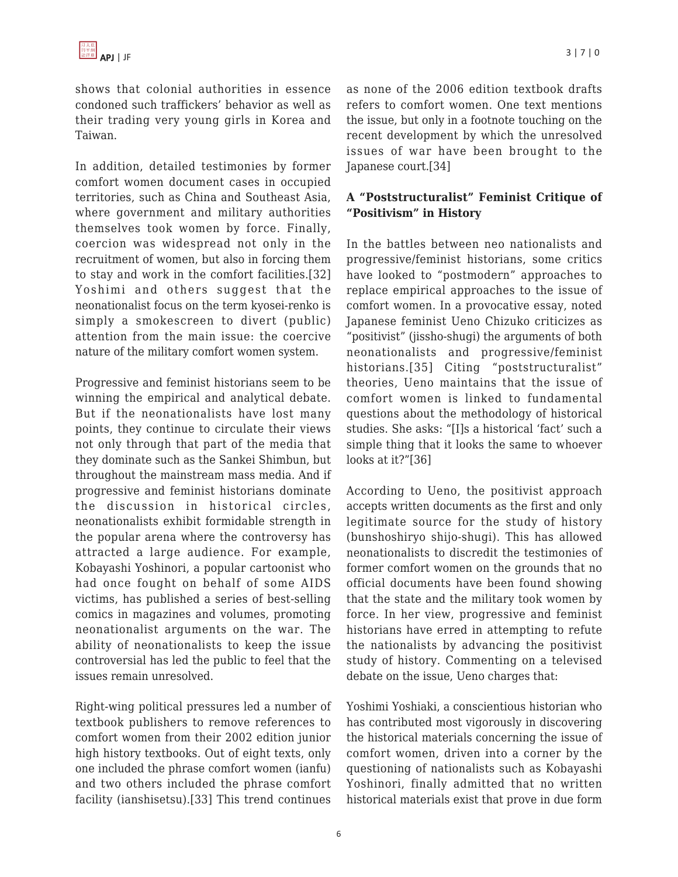shows that colonial authorities in essence condoned such traffickers' behavior as well as their trading very young girls in Korea and Taiwan.

In addition, detailed testimonies by former comfort women document cases in occupied territories, such as China and Southeast Asia, where government and military authorities themselves took women by force. Finally, coercion was widespread not only in the recruitment of women, but also in forcing them to stay and work in the comfort facilities.[32] Yoshimi and others suggest that the neonationalist focus on the term kyosei-renko is simply a smokescreen to divert (public) attention from the main issue: the coercive nature of the military comfort women system.

Progressive and feminist historians seem to be winning the empirical and analytical debate. But if the neonationalists have lost many points, they continue to circulate their views not only through that part of the media that they dominate such as the Sankei Shimbun, but throughout the mainstream mass media. And if progressive and feminist historians dominate the discussion in historical circles, neonationalists exhibit formidable strength in the popular arena where the controversy has attracted a large audience. For example, Kobayashi Yoshinori, a popular cartoonist who had once fought on behalf of some AIDS victims, has published a series of best-selling comics in magazines and volumes, promoting neonationalist arguments on the war. The ability of neonationalists to keep the issue controversial has led the public to feel that the issues remain unresolved.

Right-wing political pressures led a number of textbook publishers to remove references to comfort women from their 2002 edition junior high history textbooks. Out of eight texts, only one included the phrase comfort women (ianfu) and two others included the phrase comfort facility (ianshisetsu).[33] This trend continues as none of the 2006 edition textbook drafts refers to comfort women. One text mentions

the issue, but only in a footnote touching on the recent development by which the unresolved issues of war have been brought to the Japanese court.[34]

# **A "Poststructuralist" Feminist Critique of "Positivism" in History**

In the battles between neo nationalists and progressive/feminist historians, some critics have looked to "postmodern" approaches to replace empirical approaches to the issue of comfort women. In a provocative essay, noted Japanese feminist Ueno Chizuko criticizes as "positivist" (jissho-shugi) the arguments of both neonationalists and progressive/feminist historians.[35] Citing "poststructuralist" theories, Ueno maintains that the issue of comfort women is linked to fundamental questions about the methodology of historical studies. She asks: "[I]s a historical 'fact' such a simple thing that it looks the same to whoever looks at it?"[36]

According to Ueno, the positivist approach accepts written documents as the first and only legitimate source for the study of history (bunshoshiryo shijo-shugi). This has allowed neonationalists to discredit the testimonies of former comfort women on the grounds that no official documents have been found showing that the state and the military took women by force. In her view, progressive and feminist historians have erred in attempting to refute the nationalists by advancing the positivist study of history. Commenting on a televised debate on the issue, Ueno charges that:

Yoshimi Yoshiaki, a conscientious historian who has contributed most vigorously in discovering the historical materials concerning the issue of comfort women, driven into a corner by the questioning of nationalists such as Kobayashi Yoshinori, finally admitted that no written historical materials exist that prove in due form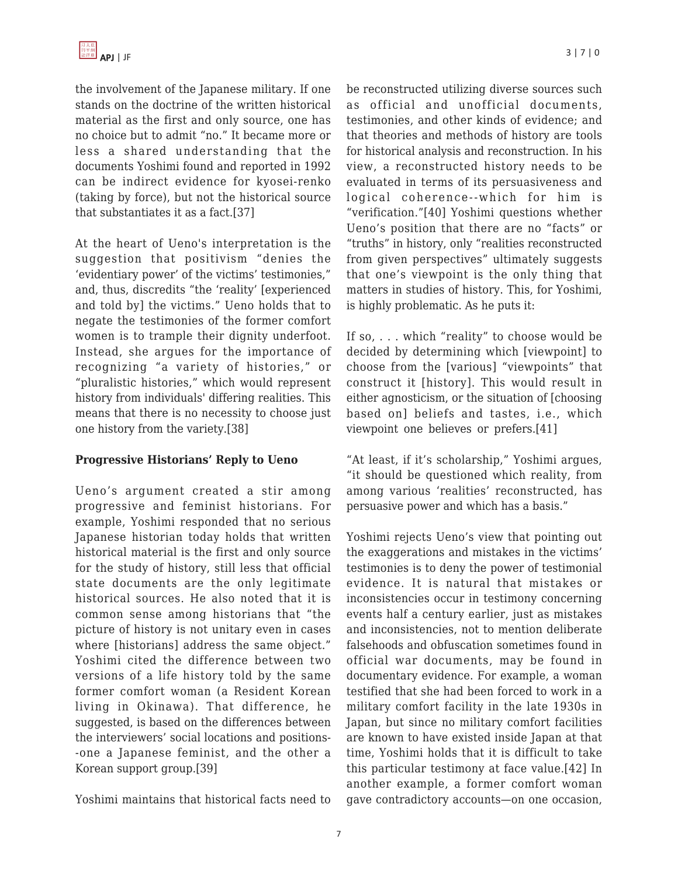the involvement of the Japanese military. If one stands on the doctrine of the written historical material as the first and only source, one has no choice but to admit "no." It became more or less a shared understanding that the documents Yoshimi found and reported in 1992 can be indirect evidence for kyosei-renko (taking by force), but not the historical source that substantiates it as a fact.[37]

At the heart of Ueno's interpretation is the suggestion that positivism "denies the 'evidentiary power' of the victims' testimonies," and, thus, discredits "the 'reality' [experienced and told by] the victims." Ueno holds that to negate the testimonies of the former comfort women is to trample their dignity underfoot. Instead, she argues for the importance of recognizing "a variety of histories," or "pluralistic histories," which would represent history from individuals' differing realities. This means that there is no necessity to choose just one history from the variety.[38]

#### **Progressive Historians' Reply to Ueno**

Ueno's argument created a stir among progressive and feminist historians. For example, Yoshimi responded that no serious Japanese historian today holds that written historical material is the first and only source for the study of history, still less that official state documents are the only legitimate historical sources. He also noted that it is common sense among historians that "the picture of history is not unitary even in cases where [historians] address the same object." Yoshimi cited the difference between two versions of a life history told by the same former comfort woman (a Resident Korean living in Okinawa). That difference, he suggested, is based on the differences between the interviewers' social locations and positions- -one a Japanese feminist, and the other a Korean support group.[39]

Yoshimi maintains that historical facts need to

be reconstructed utilizing diverse sources such as official and unofficial documents, testimonies, and other kinds of evidence; and that theories and methods of history are tools for historical analysis and reconstruction. In his view, a reconstructed history needs to be evaluated in terms of its persuasiveness and logical coherence--which for him is "verification."[40] Yoshimi questions whether Ueno's position that there are no "facts" or "truths" in history, only "realities reconstructed from given perspectives" ultimately suggests that one's viewpoint is the only thing that matters in studies of history. This, for Yoshimi, is highly problematic. As he puts it:

If so, . . . which "reality" to choose would be decided by determining which [viewpoint] to choose from the [various] "viewpoints" that construct it [history]. This would result in either agnosticism, or the situation of [choosing based on] beliefs and tastes, i.e., which viewpoint one believes or prefers.[41]

"At least, if it's scholarship," Yoshimi argues, "it should be questioned which reality, from among various 'realities' reconstructed, has persuasive power and which has a basis."

Yoshimi rejects Ueno's view that pointing out the exaggerations and mistakes in the victims' testimonies is to deny the power of testimonial evidence. It is natural that mistakes or inconsistencies occur in testimony concerning events half a century earlier, just as mistakes and inconsistencies, not to mention deliberate falsehoods and obfuscation sometimes found in official war documents, may be found in documentary evidence. For example, a woman testified that she had been forced to work in a military comfort facility in the late 1930s in Japan, but since no military comfort facilities are known to have existed inside Japan at that time, Yoshimi holds that it is difficult to take this particular testimony at face value.[42] In another example, a former comfort woman gave contradictory accounts—on one occasion,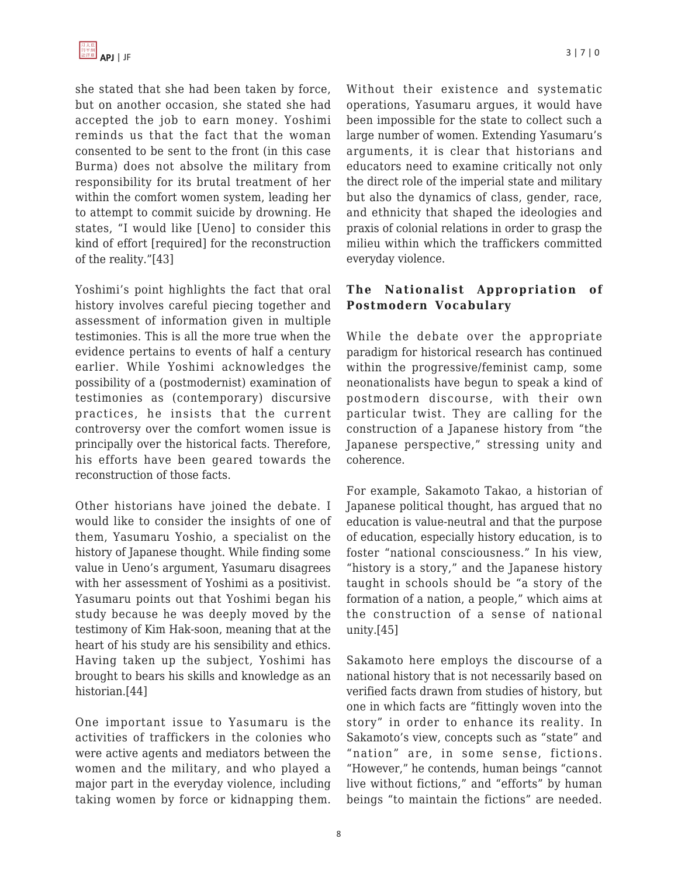she stated that she had been taken by force, but on another occasion, she stated she had accepted the job to earn money. Yoshimi reminds us that the fact that the woman consented to be sent to the front (in this case Burma) does not absolve the military from responsibility for its brutal treatment of her within the comfort women system, leading her to attempt to commit suicide by drowning. He states, "I would like [Ueno] to consider this kind of effort [required] for the reconstruction of the reality."[43]

Yoshimi's point highlights the fact that oral history involves careful piecing together and assessment of information given in multiple testimonies. This is all the more true when the evidence pertains to events of half a century earlier. While Yoshimi acknowledges the possibility of a (postmodernist) examination of testimonies as (contemporary) discursive practices, he insists that the current controversy over the comfort women issue is principally over the historical facts. Therefore, his efforts have been geared towards the reconstruction of those facts.

Other historians have joined the debate. I would like to consider the insights of one of them, Yasumaru Yoshio, a specialist on the history of Japanese thought. While finding some value in Ueno's argument, Yasumaru disagrees with her assessment of Yoshimi as a positivist. Yasumaru points out that Yoshimi began his study because he was deeply moved by the testimony of Kim Hak-soon, meaning that at the heart of his study are his sensibility and ethics. Having taken up the subject, Yoshimi has brought to bears his skills and knowledge as an historian.[44]

One important issue to Yasumaru is the activities of traffickers in the colonies who were active agents and mediators between the women and the military, and who played a major part in the everyday violence, including taking women by force or kidnapping them.

Without their existence and systematic operations, Yasumaru argues, it would have been impossible for the state to collect such a large number of women. Extending Yasumaru's arguments, it is clear that historians and educators need to examine critically not only the direct role of the imperial state and military but also the dynamics of class, gender, race, and ethnicity that shaped the ideologies and praxis of colonial relations in order to grasp the milieu within which the traffickers committed everyday violence.

## **The Nationalist Appropriation of Postmodern Vocabulary**

While the debate over the appropriate paradigm for historical research has continued within the progressive/feminist camp, some neonationalists have begun to speak a kind of postmodern discourse, with their own particular twist. They are calling for the construction of a Japanese history from "the Japanese perspective," stressing unity and coherence.

For example, Sakamoto Takao, a historian of Japanese political thought, has argued that no education is value-neutral and that the purpose of education, especially history education, is to foster "national consciousness." In his view, "history is a story," and the Japanese history taught in schools should be "a story of the formation of a nation, a people," which aims at the construction of a sense of national unity.[45]

Sakamoto here employs the discourse of a national history that is not necessarily based on verified facts drawn from studies of history, but one in which facts are "fittingly woven into the story" in order to enhance its reality. In Sakamoto's view, concepts such as "state" and "nation" are, in some sense, fictions. "However," he contends, human beings "cannot live without fictions," and "efforts" by human beings "to maintain the fictions" are needed.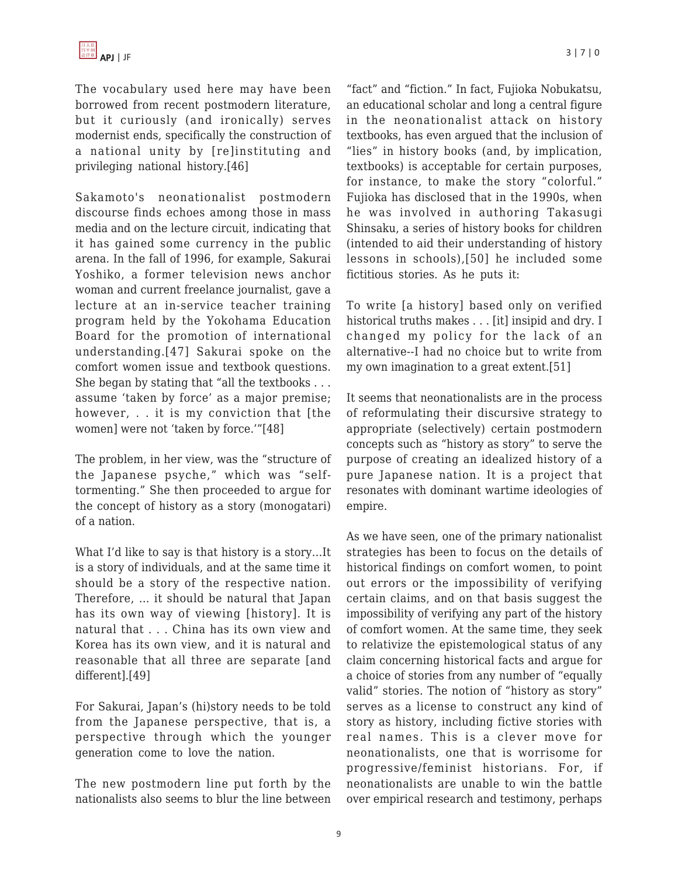The vocabulary used here may have been borrowed from recent postmodern literature, but it curiously (and ironically) serves modernist ends, specifically the construction of a national unity by [re]instituting and privileging national history.[46]

Sakamoto's neonationalist postmodern discourse finds echoes among those in mass media and on the lecture circuit, indicating that it has gained some currency in the public arena. In the fall of 1996, for example, Sakurai Yoshiko, a former television news anchor woman and current freelance journalist, gave a lecture at an in-service teacher training program held by the Yokohama Education Board for the promotion of international understanding.[47] Sakurai spoke on the comfort women issue and textbook questions. She began by stating that "all the textbooks . . . assume 'taken by force' as a major premise; however, . . it is my conviction that [the women] were not 'taken by force.'"[48]

The problem, in her view, was the "structure of the Japanese psyche," which was "selftormenting." She then proceeded to argue for the concept of history as a story (monogatari) of a nation.

What I'd like to say is that history is a story…It is a story of individuals, and at the same time it should be a story of the respective nation. Therefore, … it should be natural that Japan has its own way of viewing [history]. It is natural that . . . China has its own view and Korea has its own view, and it is natural and reasonable that all three are separate [and different].[49]

For Sakurai, Japan's (hi)story needs to be told from the Japanese perspective, that is, a perspective through which the younger generation come to love the nation.

The new postmodern line put forth by the nationalists also seems to blur the line between

"fact" and "fiction." In fact, Fujioka Nobukatsu, an educational scholar and long a central figure in the neonationalist attack on history textbooks, has even argued that the inclusion of "lies" in history books (and, by implication, textbooks) is acceptable for certain purposes, for instance, to make the story "colorful." Fujioka has disclosed that in the 1990s, when he was involved in authoring Takasugi Shinsaku, a series of history books for children (intended to aid their understanding of history lessons in schools),[50] he included some fictitious stories. As he puts it:

To write [a history] based only on verified historical truths makes . . . [it] insipid and dry. I changed my policy for the lack of an alternative--I had no choice but to write from my own imagination to a great extent.[51]

It seems that neonationalists are in the process of reformulating their discursive strategy to appropriate (selectively) certain postmodern concepts such as "history as story" to serve the purpose of creating an idealized history of a pure Japanese nation. It is a project that resonates with dominant wartime ideologies of empire.

As we have seen, one of the primary nationalist strategies has been to focus on the details of historical findings on comfort women, to point out errors or the impossibility of verifying certain claims, and on that basis suggest the impossibility of verifying any part of the history of comfort women. At the same time, they seek to relativize the epistemological status of any claim concerning historical facts and argue for a choice of stories from any number of "equally valid" stories. The notion of "history as story" serves as a license to construct any kind of story as history, including fictive stories with real names. This is a clever move for neonationalists, one that is worrisome for progressive/feminist historians. For, if neonationalists are unable to win the battle over empirical research and testimony, perhaps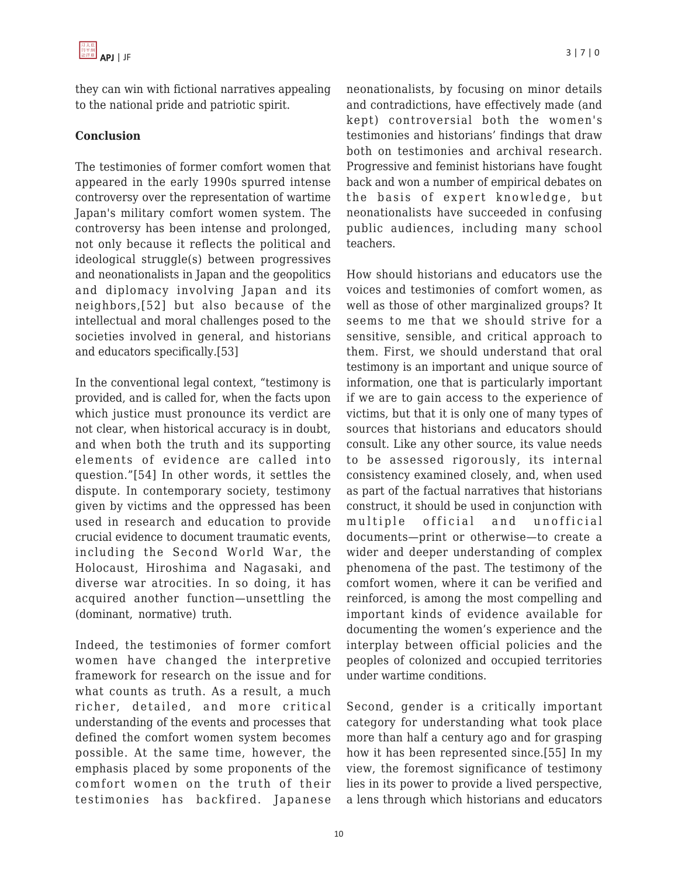they can win with fictional narratives appealing to the national pride and patriotic spirit.

### **Conclusion**

The testimonies of former comfort women that appeared in the early 1990s spurred intense controversy over the representation of wartime Japan's military comfort women system. The controversy has been intense and prolonged, not only because it reflects the political and ideological struggle(s) between progressives and neonationalists in Japan and the geopolitics and diplomacy involving Japan and its neighbors,[52] but also because of the intellectual and moral challenges posed to the societies involved in general, and historians and educators specifically.[53]

In the conventional legal context, "testimony is provided, and is called for, when the facts upon which justice must pronounce its verdict are not clear, when historical accuracy is in doubt, and when both the truth and its supporting elements of evidence are called into question."[54] In other words, it settles the dispute. In contemporary society, testimony given by victims and the oppressed has been used in research and education to provide crucial evidence to document traumatic events, including the Second World War, the Holocaust, Hiroshima and Nagasaki, and diverse war atrocities. In so doing, it has acquired another function—unsettling the (dominant, normative) truth.

Indeed, the testimonies of former comfort women have changed the interpretive framework for research on the issue and for what counts as truth. As a result, a much richer, detailed, and more critical understanding of the events and processes that defined the comfort women system becomes possible. At the same time, however, the emphasis placed by some proponents of the comfort women on the truth of their testimonies has backfired. Japanese neonationalists, by focusing on minor details and contradictions, have effectively made (and kept) controversial both the women's testimonies and historians' findings that draw both on testimonies and archival research. Progressive and feminist historians have fought back and won a number of empirical debates on the basis of expert knowledge, but neonationalists have succeeded in confusing public audiences, including many school teachers.

How should historians and educators use the voices and testimonies of comfort women, as well as those of other marginalized groups? It seems to me that we should strive for a sensitive, sensible, and critical approach to them. First, we should understand that oral testimony is an important and unique source of information, one that is particularly important if we are to gain access to the experience of victims, but that it is only one of many types of sources that historians and educators should consult. Like any other source, its value needs to be assessed rigorously, its internal consistency examined closely, and, when used as part of the factual narratives that historians construct, it should be used in conjunction with multiple official and unofficial documents—print or otherwise—to create a wider and deeper understanding of complex phenomena of the past. The testimony of the comfort women, where it can be verified and reinforced, is among the most compelling and important kinds of evidence available for documenting the women's experience and the interplay between official policies and the peoples of colonized and occupied territories under wartime conditions.

Second, gender is a critically important category for understanding what took place more than half a century ago and for grasping how it has been represented since.[55] In my view, the foremost significance of testimony lies in its power to provide a lived perspective, a lens through which historians and educators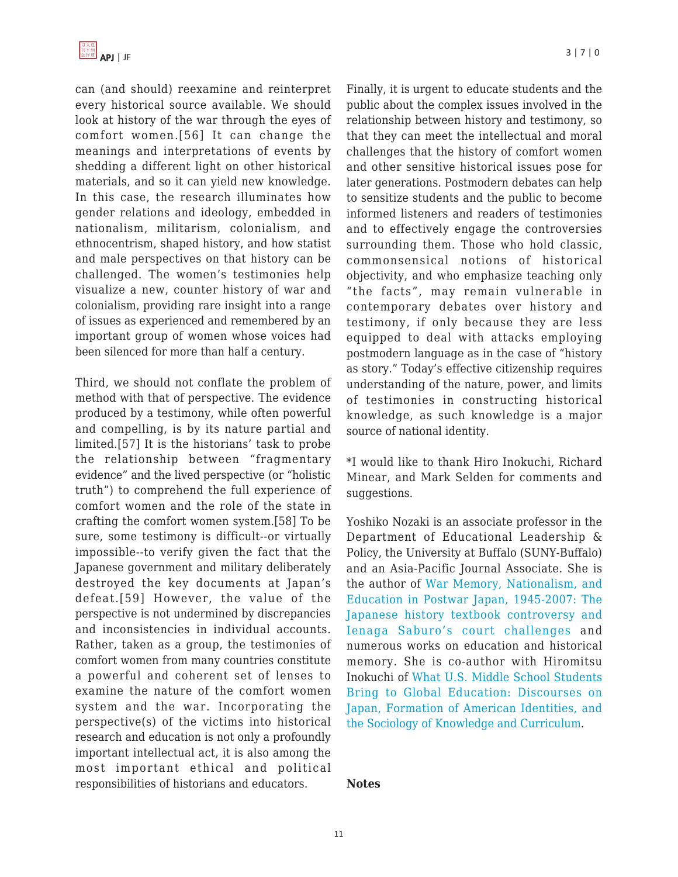can (and should) reexamine and reinterpret every historical source available. We should look at history of the war through the eyes of comfort women.[56] It can change the meanings and interpretations of events by shedding a different light on other historical materials, and so it can yield new knowledge. In this case, the research illuminates how gender relations and ideology, embedded in nationalism, militarism, colonialism, and ethnocentrism, shaped history, and how statist and male perspectives on that history can be challenged. The women's testimonies help visualize a new, counter history of war and colonialism, providing rare insight into a range of issues as experienced and remembered by an important group of women whose voices had been silenced for more than half a century.

Third, we should not conflate the problem of method with that of perspective. The evidence produced by a testimony, while often powerful and compelling, is by its nature partial and limited.[57] It is the historians' task to probe the relationship between "fragmentary evidence" and the lived perspective (or "holistic truth") to comprehend the full experience of comfort women and the role of the state in crafting the comfort women system.[58] To be sure, some testimony is difficult--or virtually impossible--to verify given the fact that the Japanese government and military deliberately destroyed the key documents at Japan's defeat.[59] However, the value of the perspective is not undermined by discrepancies and inconsistencies in individual accounts. Rather, taken as a group, the testimonies of comfort women from many countries constitute a powerful and coherent set of lenses to examine the nature of the comfort women system and the war. Incorporating the perspective(s) of the victims into historical research and education is not only a profoundly important intellectual act, it is also among the most important ethical and political responsibilities of historians and educators.

APJ | JF 3 | 7 | 0

Finally, it is urgent to educate students and the public about the complex issues involved in the relationship between history and testimony, so that they can meet the intellectual and moral challenges that the history of comfort women and other sensitive historical issues pose for later generations. Postmodern debates can help to sensitize students and the public to become informed listeners and readers of testimonies and to effectively engage the controversies surrounding them. Those who hold classic, commonsensical notions of historical objectivity, and who emphasize teaching only "the facts", may remain vulnerable in contemporary debates over history and testimony, if only because they are less equipped to deal with attacks employing postmodern language as in the case of "history as story." Today's effective citizenship requires understanding of the nature, power, and limits of testimonies in constructing historical knowledge, as such knowledge is a major source of national identity.

\*I would like to thank Hiro Inokuchi, Richard Minear, and Mark Selden for comments and suggestions.

Yoshiko Nozaki is an associate professor in the Department of Educational Leadership & Policy, the University at Buffalo (SUNY-Buffalo) and an Asia-Pacific Journal Associate. She is the author of [War Memory, Nationalism, and](http://www.amazon.com/dp/0415371473/?tag=theasipacjo0b-20) [Education in Postwar Japan, 1945-2007: The](http://www.amazon.com/dp/0415371473/?tag=theasipacjo0b-20) [Japanese history textbook controversy and](http://www.amazon.com/dp/0415371473/?tag=theasipacjo0b-20) [Ienaga Saburo's court challenges](http://www.amazon.com/dp/0415371473/?tag=theasipacjo0b-20) and numerous works on education and historical memory. She is co-author with Hiromitsu Inokuchi of [What U.S. Middle School Students](http://www.amazon.com/dp/9460913091/?tag=theasipacjo0b-20) [Bring to Global Education: Discourses on](http://www.amazon.com/dp/9460913091/?tag=theasipacjo0b-20) [Japan, Formation of American Identities, and](http://www.amazon.com/dp/9460913091/?tag=theasipacjo0b-20) [the Sociology of Knowledge and Curriculum.](http://www.amazon.com/dp/9460913091/?tag=theasipacjo0b-20)

#### **Notes**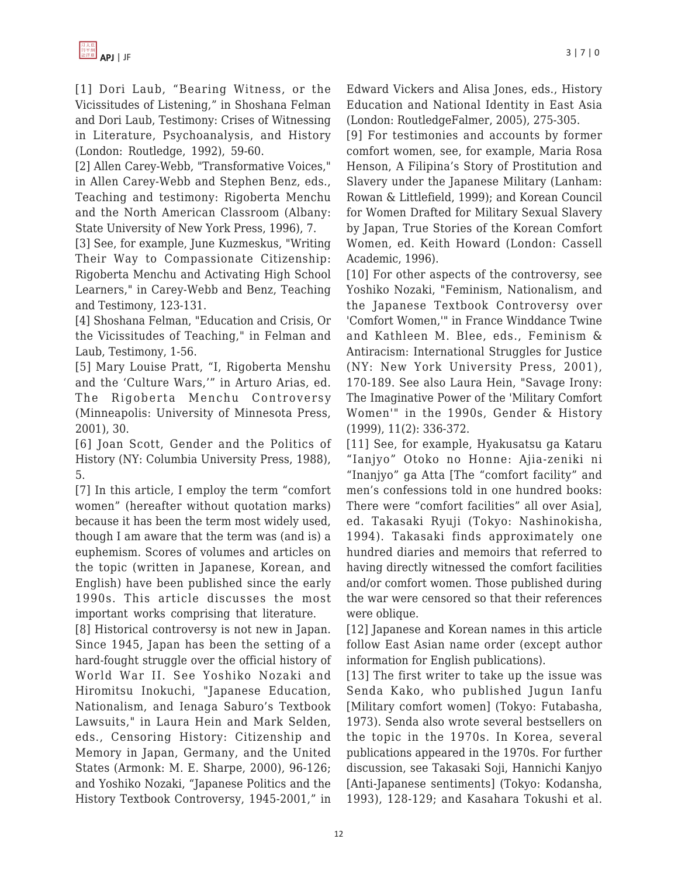[1] Dori Laub, "Bearing Witness, or the Vicissitudes of Listening," in Shoshana Felman and Dori Laub, Testimony: Crises of Witnessing in Literature, Psychoanalysis, and History (London: Routledge, 1992), 59-60.

[2] Allen Carey-Webb, "Transformative Voices," in Allen Carey-Webb and Stephen Benz, eds., Teaching and testimony: Rigoberta Menchu and the North American Classroom (Albany: State University of New York Press, 1996), 7.

[3] See, for example, June Kuzmeskus, "Writing Their Way to Compassionate Citizenship: Rigoberta Menchu and Activating High School Learners," in Carey-Webb and Benz, Teaching and Testimony, 123-131.

[4] Shoshana Felman, "Education and Crisis, Or the Vicissitudes of Teaching," in Felman and Laub, Testimony, 1-56.

[5] Mary Louise Pratt, "I, Rigoberta Menshu and the 'Culture Wars,'" in Arturo Arias, ed. The Rigoberta Menchu Controversy (Minneapolis: University of Minnesota Press, 2001), 30.

[6] Joan Scott, Gender and the Politics of History (NY: Columbia University Press, 1988), 5.

[7] In this article, I employ the term "comfort women" (hereafter without quotation marks) because it has been the term most widely used, though I am aware that the term was (and is) a euphemism. Scores of volumes and articles on the topic (written in Japanese, Korean, and English) have been published since the early 1990s. This article discusses the most important works comprising that literature.

[8] Historical controversy is not new in Japan. Since 1945, Japan has been the setting of a hard-fought struggle over the official history of World War II. See Yoshiko Nozaki and Hiromitsu Inokuchi, "Japanese Education, Nationalism, and Ienaga Saburo's Textbook Lawsuits," in Laura Hein and Mark Selden, eds., Censoring History: Citizenship and Memory in Japan, Germany, and the United States (Armonk: M. E. Sharpe, 2000), 96-126; and Yoshiko Nozaki, "Japanese Politics and the History Textbook Controversy, 1945-2001," in Edward Vickers and Alisa Jones, eds., History Education and National Identity in East Asia (London: RoutledgeFalmer, 2005), 275-305.

[9] For testimonies and accounts by former comfort women, see, for example, Maria Rosa Henson, A Filipina's Story of Prostitution and Slavery under the Japanese Military (Lanham: Rowan & Littlefield, 1999); and Korean Council for Women Drafted for Military Sexual Slavery by Japan, True Stories of the Korean Comfort Women, ed. Keith Howard (London: Cassell Academic, 1996).

[10] For other aspects of the controversy, see Yoshiko Nozaki, "Feminism, Nationalism, and the Japanese Textbook Controversy over 'Comfort Women,'" in France Winddance Twine and Kathleen M. Blee, eds., Feminism & Antiracism: International Struggles for Justice (NY: New York University Press, 2001), 170-189. See also Laura Hein, "Savage Irony: The Imaginative Power of the 'Military Comfort Women'" in the 1990s, Gender & History (1999), 11(2): 336-372.

[11] See, for example, Hyakusatsu ga Kataru "Ianjyo" Otoko no Honne: Ajia-zeniki ni "Inanjyo" ga Atta [The "comfort facility" and men's confessions told in one hundred books: There were "comfort facilities" all over Asia], ed. Takasaki Ryuji (Tokyo: Nashinokisha, 1994). Takasaki finds approximately one hundred diaries and memoirs that referred to having directly witnessed the comfort facilities and/or comfort women. Those published during the war were censored so that their references were oblique.

[12] Japanese and Korean names in this article follow East Asian name order (except author information for English publications).

[13] The first writer to take up the issue was Senda Kako, who published Jugun Ianfu [Military comfort women] (Tokyo: Futabasha, 1973). Senda also wrote several bestsellers on the topic in the 1970s. In Korea, several publications appeared in the 1970s. For further discussion, see Takasaki Soji, Hannichi Kanjyo [Anti-Japanese sentiments] (Tokyo: Kodansha, 1993), 128-129; and Kasahara Tokushi et al.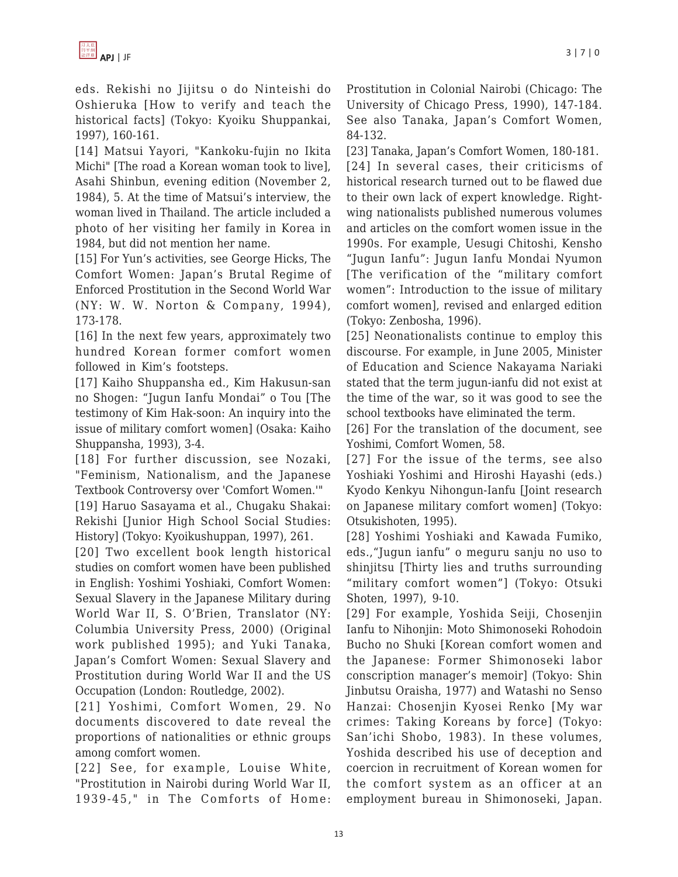eds. Rekishi no Jijitsu o do Ninteishi do Oshieruka [How to verify and teach the historical facts] (Tokyo: Kyoiku Shuppankai, 1997), 160-161.

[14] Matsui Yayori, "Kankoku-fujin no Ikita Michi" [The road a Korean woman took to live], Asahi Shinbun, evening edition (November 2, 1984), 5. At the time of Matsui's interview, the woman lived in Thailand. The article included a photo of her visiting her family in Korea in 1984, but did not mention her name.

[15] For Yun's activities, see George Hicks, The Comfort Women: Japan's Brutal Regime of Enforced Prostitution in the Second World War (NY: W. W. Norton & Company, 1994), 173-178.

[16] In the next few years, approximately two hundred Korean former comfort women followed in Kim's footsteps.

[17] Kaiho Shuppansha ed., Kim Hakusun-san no Shogen: "Jugun Ianfu Mondai" o Tou [The testimony of Kim Hak-soon: An inquiry into the issue of military comfort women] (Osaka: Kaiho Shuppansha, 1993), 3-4.

[18] For further discussion, see Nozaki, "Feminism, Nationalism, and the Japanese Textbook Controversy over 'Comfort Women.'"

[19] Haruo Sasayama et al., Chugaku Shakai: Rekishi [Junior High School Social Studies: History] (Tokyo: Kyoikushuppan, 1997), 261.

[20] Two excellent book length historical studies on comfort women have been published in English: Yoshimi Yoshiaki, Comfort Women: Sexual Slavery in the Japanese Military during World War II, S. O'Brien, Translator (NY: Columbia University Press, 2000) (Original work published 1995); and Yuki Tanaka, Japan's Comfort Women: Sexual Slavery and Prostitution during World War II and the US Occupation (London: Routledge, 2002).

[21] Yoshimi, Comfort Women, 29. No documents discovered to date reveal the proportions of nationalities or ethnic groups among comfort women.

[22] See, for example, Louise White, "Prostitution in Nairobi during World War II, 1939-45," in The Comforts of Home: Prostitution in Colonial Nairobi (Chicago: The University of Chicago Press, 1990), 147-184. See also Tanaka, Japan's Comfort Women, 84-132.

[23] Tanaka, Japan's Comfort Women, 180-181.

[24] In several cases, their criticisms of historical research turned out to be flawed due to their own lack of expert knowledge. Rightwing nationalists published numerous volumes and articles on the comfort women issue in the 1990s. For example, Uesugi Chitoshi, Kensho "Jugun Ianfu": Jugun Ianfu Mondai Nyumon [The verification of the "military comfort women": Introduction to the issue of military comfort women], revised and enlarged edition (Tokyo: Zenbosha, 1996).

[25] Neonationalists continue to employ this discourse. For example, in June 2005, Minister of Education and Science Nakayama Nariaki stated that the term jugun-ianfu did not exist at the time of the war, so it was good to see the school textbooks have eliminated the term.

[26] For the translation of the document, see Yoshimi, Comfort Women, 58.

[27] For the issue of the terms, see also Yoshiaki Yoshimi and Hiroshi Hayashi (eds.) Kyodo Kenkyu Nihongun-Ianfu [Joint research on Japanese military comfort women] (Tokyo: Otsukishoten, 1995).

[28] Yoshimi Yoshiaki and Kawada Fumiko, eds.,"Jugun ianfu" o meguru sanju no uso to shinjitsu [Thirty lies and truths surrounding "military comfort women"] (Tokyo: Otsuki Shoten, 1997), 9-10.

[29] For example, Yoshida Seiji, Chosenjin Ianfu to Nihonjin: Moto Shimonoseki Rohodoin Bucho no Shuki [Korean comfort women and the Japanese: Former Shimonoseki labor conscription manager's memoir] (Tokyo: Shin Jinbutsu Oraisha, 1977) and Watashi no Senso Hanzai: Chosenjin Kyosei Renko [My war crimes: Taking Koreans by force] (Tokyo: San'ichi Shobo, 1983). In these volumes, Yoshida described his use of deception and coercion in recruitment of Korean women for the comfort system as an officer at an employment bureau in Shimonoseki, Japan.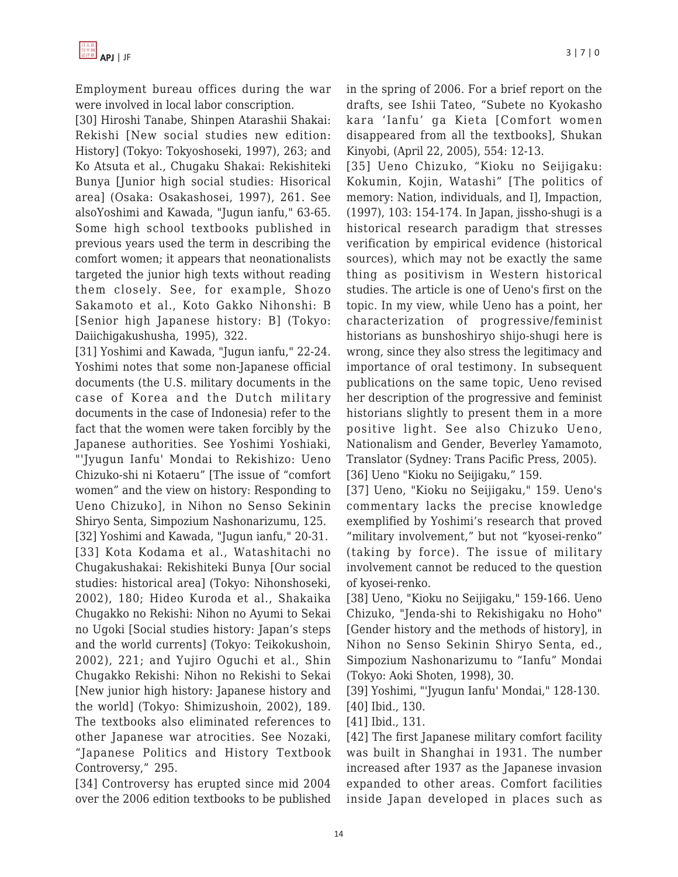

Employment bureau offices during the war were involved in local labor conscription.

[30] Hiroshi Tanabe, Shinpen Atarashii Shakai: Rekishi [New social studies new edition: History] (Tokyo: Tokyoshoseki, 1997), 263; and Ko Atsuta et al., Chugaku Shakai: Rekishiteki Bunya [Junior high social studies: Hisorical area] (Osaka: Osakashosei, 1997), 261. See alsoYoshimi and Kawada, "Jugun ianfu," 63-65. Some high school textbooks published in previous years used the term in describing the comfort women; it appears that neonationalists targeted the junior high texts without reading them closely. See, for example, Shozo Sakamoto et al., Koto Gakko Nihonshi: B [Senior high Japanese history: B] (Tokyo: Daiichigakushusha, 1995), 322.

[31] Yoshimi and Kawada, "Jugun ianfu," 22-24. Yoshimi notes that some non-Japanese official documents (the U.S. military documents in the case of Korea and the Dutch military documents in the case of Indonesia) refer to the fact that the women were taken forcibly by the Japanese authorities. See Yoshimi Yoshiaki, "'Jyugun Ianfu' Mondai to Rekishizo: Ueno Chizuko-shi ni Kotaeru" [The issue of "comfort women" and the view on history: Responding to Ueno Chizuko], in Nihon no Senso Sekinin Shiryo Senta, Simpozium Nashonarizumu, 125.

[32] Yoshimi and Kawada, "Jugun ianfu," 20-31. [33] Kota Kodama et al., Watashitachi no Chugakushakai: Rekishiteki Bunya [Our social studies: historical area] (Tokyo: Nihonshoseki, 2002), 180; Hideo Kuroda et al., Shakaika Chugakko no Rekishi: Nihon no Ayumi to Sekai no Ugoki [Social studies history: Japan's steps and the world currents] (Tokyo: Teikokushoin, 2002), 221; and Yujiro Oguchi et al., Shin Chugakko Rekishi: Nihon no Rekishi to Sekai [New junior high history: Japanese history and the world] (Tokyo: Shimizushoin, 2002), 189. The textbooks also eliminated references to other Japanese war atrocities. See Nozaki, "Japanese Politics and History Textbook Controversy," 295.

[34] Controversy has erupted since mid 2004 over the 2006 edition textbooks to be published in the spring of 2006. For a brief report on the drafts, see Ishii Tateo, "Subete no Kyokasho kara 'Ianfu' ga Kieta [Comfort women disappeared from all the textbooks], Shukan Kinyobi, (April 22, 2005), 554: 12-13.

[35] Ueno Chizuko, "Kioku no Seijigaku: Kokumin, Kojin, Watashi" [The politics of memory: Nation, individuals, and I], Impaction, (1997), 103: 154-174. In Japan, jissho-shugi is a historical research paradigm that stresses verification by empirical evidence (historical sources), which may not be exactly the same thing as positivism in Western historical studies. The article is one of Ueno's first on the topic. In my view, while Ueno has a point, her characterization of progressive/feminist historians as bunshoshiryo shijo-shugi here is wrong, since they also stress the legitimacy and importance of oral testimony. In subsequent publications on the same topic, Ueno revised her description of the progressive and feminist historians slightly to present them in a more positive light. See also Chizuko Ueno, Nationalism and Gender, Beverley Yamamoto, Translator (Sydney: Trans Pacific Press, 2005). [36] Ueno "Kioku no Seijigaku," 159.

[37] Ueno, "Kioku no Seijigaku," 159. Ueno's commentary lacks the precise knowledge exemplified by Yoshimi's research that proved "military involvement," but not "kyosei-renko" (taking by force). The issue of military involvement cannot be reduced to the question of kyosei-renko.

[38] Ueno, "Kioku no Seijigaku," 159-166. Ueno Chizuko, "Jenda-shi to Rekishigaku no Hoho" [Gender history and the methods of history], in Nihon no Senso Sekinin Shiryo Senta, ed., Simpozium Nashonarizumu to "Ianfu" Mondai (Tokyo: Aoki Shoten, 1998), 30.

[39] Yoshimi, "'Jyugun Ianfu' Mondai," 128-130. [40] Ibid., 130.

[41] Ibid., 131.

[42] The first Japanese military comfort facility was built in Shanghai in 1931. The number increased after 1937 as the Japanese invasion expanded to other areas. Comfort facilities inside Japan developed in places such as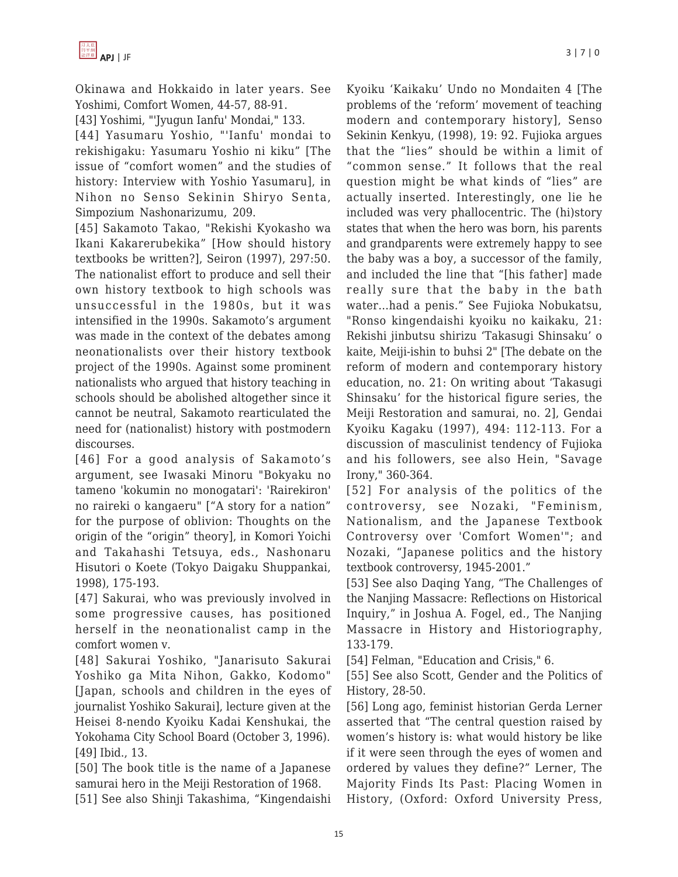Okinawa and Hokkaido in later years. See Yoshimi, Comfort Women, 44-57, 88-91.

[43] Yoshimi, "'Jyugun Ianfu' Mondai," 133.

[44] Yasumaru Yoshio, "'Ianfu' mondai to rekishigaku: Yasumaru Yoshio ni kiku" [The issue of "comfort women" and the studies of history: Interview with Yoshio Yasumaru], in Nihon no Senso Sekinin Shiryo Senta, Simpozium Nashonarizumu, 209.

[45] Sakamoto Takao, "Rekishi Kyokasho wa Ikani Kakarerubekika" [How should history textbooks be written?], Seiron (1997), 297:50. The nationalist effort to produce and sell their own history textbook to high schools was unsuccessful in the 1980s, but it was intensified in the 1990s. Sakamoto's argument was made in the context of the debates among neonationalists over their history textbook project of the 1990s. Against some prominent nationalists who argued that history teaching in schools should be abolished altogether since it cannot be neutral, Sakamoto rearticulated the need for (nationalist) history with postmodern discourses.

[46] For a good analysis of Sakamoto's argument, see Iwasaki Minoru "Bokyaku no tameno 'kokumin no monogatari': 'Rairekiron' no raireki o kangaeru" ["A story for a nation" for the purpose of oblivion: Thoughts on the origin of the "origin" theory], in Komori Yoichi and Takahashi Tetsuya, eds., Nashonaru Hisutori o Koete (Tokyo Daigaku Shuppankai, 1998), 175-193.

[47] Sakurai, who was previously involved in some progressive causes, has positioned herself in the neonationalist camp in the comfort women v.

[48] Sakurai Yoshiko, "Janarisuto Sakurai Yoshiko ga Mita Nihon, Gakko, Kodomo" [Japan, schools and children in the eyes of journalist Yoshiko Sakurai], lecture given at the Heisei 8-nendo Kyoiku Kadai Kenshukai, the Yokohama City School Board (October 3, 1996). [49] Ibid., 13.

[50] The book title is the name of a Japanese samurai hero in the Meiji Restoration of 1968.

[51] See also Shinji Takashima, "Kingendaishi

Kyoiku 'Kaikaku' Undo no Mondaiten 4 [The problems of the 'reform' movement of teaching modern and contemporary history], Senso Sekinin Kenkyu, (1998), 19: 92. Fujioka argues that the "lies" should be within a limit of "common sense." It follows that the real question might be what kinds of "lies" are actually inserted. Interestingly, one lie he included was very phallocentric. The (hi)story states that when the hero was born, his parents and grandparents were extremely happy to see the baby was a boy, a successor of the family, and included the line that "[his father] made really sure that the baby in the bath water…had a penis." See Fujioka Nobukatsu, "Ronso kingendaishi kyoiku no kaikaku, 21: Rekishi jinbutsu shirizu 'Takasugi Shinsaku' o kaite, Meiji-ishin to buhsi 2" [The debate on the reform of modern and contemporary history education, no. 21: On writing about 'Takasugi Shinsaku' for the historical figure series, the Meiji Restoration and samurai, no. 2], Gendai Kyoiku Kagaku (1997), 494: 112-113. For a discussion of masculinist tendency of Fujioka and his followers, see also Hein, "Savage Irony," 360-364.

[52] For analysis of the politics of the controversy, see Nozaki, "Feminism, Nationalism, and the Japanese Textbook Controversy over 'Comfort Women'"; and Nozaki, "Japanese politics and the history textbook controversy, 1945-2001."

[53] See also Daqing Yang, "The Challenges of the Nanjing Massacre: Reflections on Historical Inquiry," in Joshua A. Fogel, ed., The Nanjing Massacre in History and Historiography, 133-179.

[54] Felman, "Education and Crisis," 6.

[55] See also Scott, Gender and the Politics of History, 28-50.

[56] Long ago, feminist historian Gerda Lerner asserted that "The central question raised by women's history is: what would history be like if it were seen through the eyes of women and ordered by values they define?" Lerner, The Majority Finds Its Past: Placing Women in History, (Oxford: Oxford University Press,